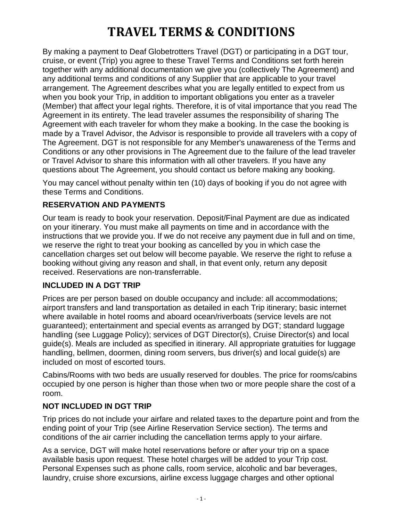By making a payment to Deaf Globetrotters Travel (DGT) or participating in a DGT tour, cruise, or event (Trip) you agree to these Travel Terms and Conditions set forth herein together with any additional documentation we give you (collectively The Agreement) and any additional terms and conditions of any Supplier that are applicable to your travel arrangement. The Agreement describes what you are legally entitled to expect from us when you book your Trip, in addition to important obligations you enter as a traveler (Member) that affect your legal rights. Therefore, it is of vital importance that you read The Agreement in its entirety. The lead traveler assumes the responsibility of sharing The Agreement with each traveler for whom they make a booking. In the case the booking is made by a Travel Advisor, the Advisor is responsible to provide all travelers with a copy of The Agreement. DGT is not responsible for any Member's unawareness of the Terms and Conditions or any other provisions in The Agreement due to the failure of the lead traveler or Travel Advisor to share this information with all other travelers. If you have any questions about The Agreement, you should contact us before making any booking.

You may cancel without penalty within ten (10) days of booking if you do not agree with these Terms and Conditions.

### **RESERVATION AND PAYMENTS**

Our team is ready to book your reservation. Deposit/Final Payment are due as indicated on your itinerary. You must make all payments on time and in accordance with the instructions that we provide you. If we do not receive any payment due in full and on time, we reserve the right to treat your booking as cancelled by you in which case the cancellation charges set out below will become payable. We reserve the right to refuse a booking without giving any reason and shall, in that event only, return any deposit received. Reservations are non-transferrable.

#### **INCLUDED IN A DGT TRIP**

Prices are per person based on double occupancy and include: all accommodations; airport transfers and land transportation as detailed in each Trip itinerary; basic internet where available in hotel rooms and aboard ocean/riverboats (service levels are not guaranteed); entertainment and special events as arranged by DGT; standard luggage handling (see Luggage Policy); services of DGT Director(s), Cruise Director(s) and local guide(s). Meals are included as specified in itinerary. All appropriate gratuities for luggage handling, bellmen, doormen, dining room servers, bus driver(s) and local guide(s) are included on most of escorted tours.

Cabins/Rooms with two beds are usually reserved for doubles. The price for rooms/cabins occupied by one person is higher than those when two or more people share the cost of a room.

#### **NOT INCLUDED IN DGT TRIP**

Trip prices do not include your airfare and related taxes to the departure point and from the ending point of your Trip (see Airline Reservation Service section). The terms and conditions of the air carrier including the cancellation terms apply to your airfare.

As a service, DGT will make hotel reservations before or after your trip on a space available basis upon request. These hotel charges will be added to your Trip cost. Personal Expenses such as phone calls, room service, alcoholic and bar beverages, laundry, cruise shore excursions, airline excess luggage charges and other optional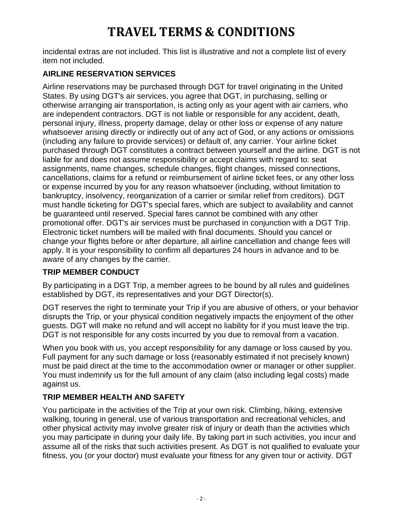incidental extras are not included. This list is illustrative and not a complete list of every item not included.

## **AIRLINE RESERVATION SERVICES**

Airline reservations may be purchased through DGT for travel originating in the United States. By using DGT's air services, you agree that DGT, in purchasing, selling or otherwise arranging air transportation, is acting only as your agent with air carriers, who are independent contractors. DGT is not liable or responsible for any accident, death, personal injury, illness, property damage, delay or other loss or expense of any nature whatsoever arising directly or indirectly out of any act of God, or any actions or omissions (including any failure to provide services) or default of, any carrier. Your airline ticket purchased through DGT constitutes a contract between yourself and the airline. DGT is not liable for and does not assume responsibility or accept claims with regard to: seat assignments, name changes, schedule changes, flight changes, missed connections, cancellations, claims for a refund or reimbursement of airline ticket fees, or any other loss or expense incurred by you for any reason whatsoever (including, without limitation to bankruptcy, insolvency, reorganization of a carrier or similar relief from creditors). DGT must handle ticketing for DGT's special fares, which are subject to availability and cannot be guaranteed until reserved. Special fares cannot be combined with any other promotional offer. DGT's air services must be purchased in conjunction with a DGT Trip. Electronic ticket numbers will be mailed with final documents. Should you cancel or change your flights before or after departure, all airline cancellation and change fees will apply. It is your responsibility to confirm all departures 24 hours in advance and to be aware of any changes by the carrier.

### **TRIP MEMBER CONDUCT**

By participating in a DGT Trip, a member agrees to be bound by all rules and guidelines established by DGT, its representatives and your DGT Director(s).

DGT reserves the right to terminate your Trip if you are abusive of others, or your behavior disrupts the Trip, or your physical condition negatively impacts the enjoyment of the other guests. DGT will make no refund and will accept no liability for if you must leave the trip. DGT is not responsible for any costs incurred by you due to removal from a vacation.

When you book with us, you accept responsibility for any damage or loss caused by you. Full payment for any such damage or loss (reasonably estimated if not precisely known) must be paid direct at the time to the accommodation owner or manager or other supplier. You must indemnify us for the full amount of any claim (also including legal costs) made against us.

### **TRIP MEMBER HEALTH AND SAFETY**

You participate in the activities of the Trip at your own risk. Climbing, hiking, extensive walking, touring in general, use of various transportation and recreational vehicles, and other physical activity may involve greater risk of injury or death than the activities which you may participate in during your daily life. By taking part in such activities, you incur and assume all of the risks that such activities present. As DGT is not qualified to evaluate your fitness, you (or your doctor) must evaluate your fitness for any given tour or activity. DGT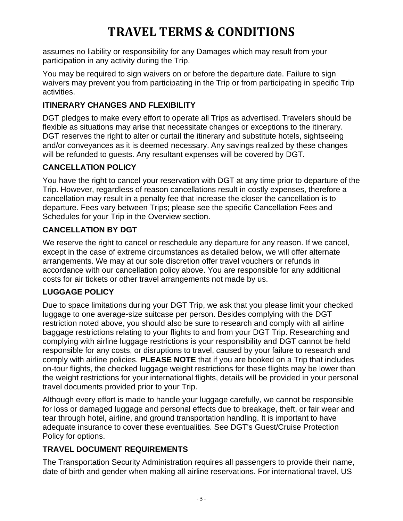assumes no liability or responsibility for any Damages which may result from your participation in any activity during the Trip.

You may be required to sign waivers on or before the departure date. Failure to sign waivers may prevent you from participating in the Trip or from participating in specific Trip activities.

## **ITINERARY CHANGES AND FLEXIBILITY**

DGT pledges to make every effort to operate all Trips as advertised. Travelers should be flexible as situations may arise that necessitate changes or exceptions to the itinerary. DGT reserves the right to alter or curtail the itinerary and substitute hotels, sightseeing and/or conveyances as it is deemed necessary. Any savings realized by these changes will be refunded to guests. Any resultant expenses will be covered by DGT.

## **CANCELLATION POLICY**

You have the right to cancel your reservation with DGT at any time prior to departure of the Trip. However, regardless of reason cancellations result in costly expenses, therefore a cancellation may result in a penalty fee that increase the closer the cancellation is to departure. Fees vary between Trips; please see the specific Cancellation Fees and Schedules for your Trip in the Overview section.

### **CANCELLATION BY DGT**

We reserve the right to cancel or reschedule any departure for any reason. If we cancel, except in the case of extreme circumstances as detailed below, we will offer alternate arrangements. We may at our sole discretion offer travel vouchers or refunds in accordance with our cancellation policy above. You are responsible for any additional costs for air tickets or other travel arrangements not made by us.

### **LUGGAGE POLICY**

Due to space limitations during your DGT Trip, we ask that you please limit your checked luggage to one average-size suitcase per person. Besides complying with the DGT restriction noted above, you should also be sure to research and comply with all airline baggage restrictions relating to your flights to and from your DGT Trip. Researching and complying with airline luggage restrictions is your responsibility and DGT cannot be held responsible for any costs, or disruptions to travel, caused by your failure to research and comply with airline policies. **PLEASE NOTE** that if you are booked on a Trip that includes on-tour flights, the checked luggage weight restrictions for these flights may be lower than the weight restrictions for your international flights, details will be provided in your personal travel documents provided prior to your Trip.

Although every effort is made to handle your luggage carefully, we cannot be responsible for loss or damaged luggage and personal effects due to breakage, theft, or fair wear and tear through hotel, airline, and ground transportation handling. It is important to have adequate insurance to cover these eventualities. See DGT's Guest/Cruise Protection Policy for options.

## **TRAVEL DOCUMENT REQUIREMENTS**

The Transportation Security Administration requires all passengers to provide their name, date of birth and gender when making all airline reservations. For international travel, US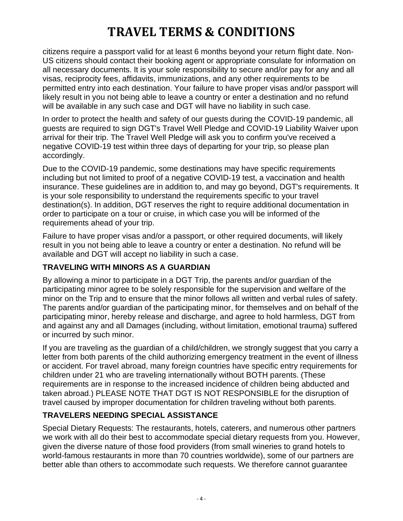citizens require a passport valid for at least 6 months beyond your return flight date. Non-US citizens should contact their booking agent or appropriate consulate for information on all necessary documents. It is your sole responsibility to secure and/or pay for any and all visas, reciprocity fees, affidavits, immunizations, and any other requirements to be permitted entry into each destination. Your failure to have proper visas and/or passport will likely result in you not being able to leave a country or enter a destination and no refund will be available in any such case and DGT will have no liability in such case.

In order to protect the health and safety of our guests during the COVID-19 pandemic, all guests are required to sign DGT's Travel Well Pledge and COVID-19 Liability Waiver upon arrival for their trip. The Travel Well Pledge will ask you to confirm you've received a negative COVID-19 test within three days of departing for your trip, so please plan accordingly.

Due to the COVID-19 pandemic, some destinations may have specific requirements including but not limited to proof of a negative COVID-19 test, a vaccination and health insurance. These guidelines are in addition to, and may go beyond, DGT's requirements. It is your sole responsibility to understand the requirements specific to your travel destination(s). In addition, DGT reserves the right to require additional documentation in order to participate on a tour or cruise, in which case you will be informed of the requirements ahead of your trip.

Failure to have proper visas and/or a passport, or other required documents, will likely result in you not being able to leave a country or enter a destination. No refund will be available and DGT will accept no liability in such a case.

### **TRAVELING WITH MINORS AS A GUARDIAN**

By allowing a minor to participate in a DGT Trip, the parents and/or guardian of the participating minor agree to be solely responsible for the supervision and welfare of the minor on the Trip and to ensure that the minor follows all written and verbal rules of safety. The parents and/or guardian of the participating minor, for themselves and on behalf of the participating minor, hereby release and discharge, and agree to hold harmless, DGT from and against any and all Damages (including, without limitation, emotional trauma) suffered or incurred by such minor.

If you are traveling as the guardian of a child/children, we strongly suggest that you carry a letter from both parents of the child authorizing emergency treatment in the event of illness or accident. For travel abroad, many foreign countries have specific entry requirements for children under 21 who are traveling internationally without BOTH parents. (These requirements are in response to the increased incidence of children being abducted and taken abroad.) PLEASE NOTE THAT DGT IS NOT RESPONSIBLE for the disruption of travel caused by improper documentation for children traveling without both parents.

### **TRAVELERS NEEDING SPECIAL ASSISTANCE**

Special Dietary Requests: The restaurants, hotels, caterers, and numerous other partners we work with all do their best to accommodate special dietary requests from you. However, given the diverse nature of those food providers (from small wineries to grand hotels to world-famous restaurants in more than 70 countries worldwide), some of our partners are better able than others to accommodate such requests. We therefore cannot guarantee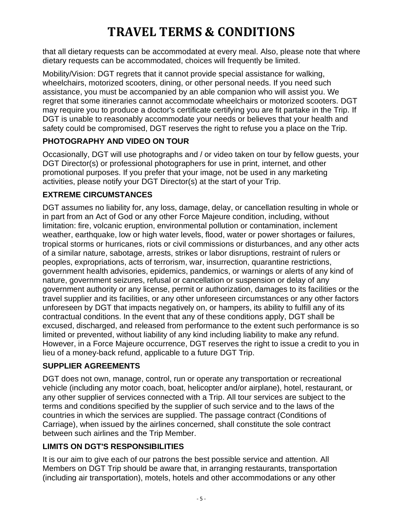that all dietary requests can be accommodated at every meal. Also, please note that where dietary requests can be accommodated, choices will frequently be limited.

Mobility/Vision: DGT regrets that it cannot provide special assistance for walking, wheelchairs, motorized scooters, dining, or other personal needs. If you need such assistance, you must be accompanied by an able companion who will assist you. We regret that some itineraries cannot accommodate wheelchairs or motorized scooters. DGT may require you to produce a doctor's certificate certifying you are fit partake in the Trip. If DGT is unable to reasonably accommodate your needs or believes that your health and safety could be compromised, DGT reserves the right to refuse you a place on the Trip.

### **PHOTOGRAPHY AND VIDEO ON TOUR**

Occasionally, DGT will use photographs and / or video taken on tour by fellow guests, your DGT Director(s) or professional photographers for use in print, internet, and other promotional purposes. If you prefer that your image, not be used in any marketing activities, please notify your DGT Director(s) at the start of your Trip.

## **EXTREME CIRCUMSTANCES**

DGT assumes no liability for, any loss, damage, delay, or cancellation resulting in whole or in part from an Act of God or any other Force Majeure condition, including, without limitation: fire, volcanic eruption, environmental pollution or contamination, inclement weather, earthquake, low or high water levels, flood, water or power shortages or failures, tropical storms or hurricanes, riots or civil commissions or disturbances, and any other acts of a similar nature, sabotage, arrests, strikes or labor disruptions, restraint of rulers or peoples, expropriations, acts of terrorism, war, insurrection, quarantine restrictions, government health advisories, epidemics, pandemics, or warnings or alerts of any kind of nature, government seizures, refusal or cancellation or suspension or delay of any government authority or any license, permit or authorization, damages to its facilities or the travel supplier and its facilities, or any other unforeseen circumstances or any other factors unforeseen by DGT that impacts negatively on, or hampers, its ability to fulfill any of its contractual conditions. In the event that any of these conditions apply, DGT shall be excused, discharged, and released from performance to the extent such performance is so limited or prevented, without liability of any kind including liability to make any refund. However, in a Force Majeure occurrence, DGT reserves the right to issue a credit to you in lieu of a money-back refund, applicable to a future DGT Trip.

### **SUPPLIER AGREEMENTS**

DGT does not own, manage, control, run or operate any transportation or recreational vehicle (including any motor coach, boat, helicopter and/or airplane), hotel, restaurant, or any other supplier of services connected with a Trip. All tour services are subject to the terms and conditions specified by the supplier of such service and to the laws of the countries in which the services are supplied. The passage contract (Conditions of Carriage), when issued by the airlines concerned, shall constitute the sole contract between such airlines and the Trip Member.

## **LIMITS ON DGT'S RESPONSIBILITIES**

It is our aim to give each of our patrons the best possible service and attention. All Members on DGT Trip should be aware that, in arranging restaurants, transportation (including air transportation), motels, hotels and other accommodations or any other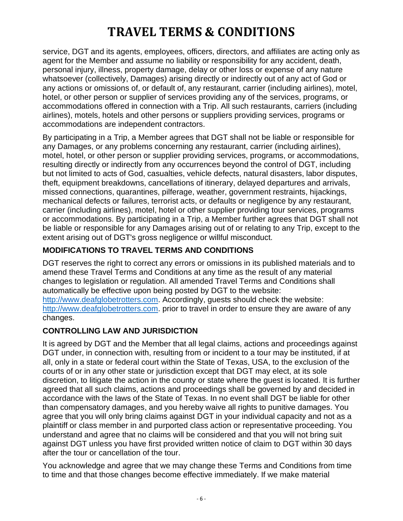service, DGT and its agents, employees, officers, directors, and affiliates are acting only as agent for the Member and assume no liability or responsibility for any accident, death, personal injury, illness, property damage, delay or other loss or expense of any nature whatsoever (collectively, Damages) arising directly or indirectly out of any act of God or any actions or omissions of, or default of, any restaurant, carrier (including airlines), motel, hotel, or other person or supplier of services providing any of the services, programs, or accommodations offered in connection with a Trip. All such restaurants, carriers (including airlines), motels, hotels and other persons or suppliers providing services, programs or accommodations are independent contractors.

By participating in a Trip, a Member agrees that DGT shall not be liable or responsible for any Damages, or any problems concerning any restaurant, carrier (including airlines), motel, hotel, or other person or supplier providing services, programs, or accommodations, resulting directly or indirectly from any occurrences beyond the control of DGT, including but not limited to acts of God, casualties, vehicle defects, natural disasters, labor disputes, theft, equipment breakdowns, cancellations of itinerary, delayed departures and arrivals, missed connections, quarantines, pilferage, weather, government restraints, hijackings, mechanical defects or failures, terrorist acts, or defaults or negligence by any restaurant, carrier (including airlines), motel, hotel or other supplier providing tour services, programs or accommodations. By participating in a Trip, a Member further agrees that DGT shall not be liable or responsible for any Damages arising out of or relating to any Trip, except to the extent arising out of DGT's gross negligence or willful misconduct.

### **MODIFICATIONS TO TRAVEL TERMS AND CONDITIONS**

DGT reserves the right to correct any errors or omissions in its published materials and to amend these Travel Terms and Conditions at any time as the result of any material changes to legislation or regulation. All amended Travel Terms and Conditions shall automatically be effective upon being posted by DGT to the website: [http://www.deafglobetrotters.com.](http://www.deafglobetrotters.com/) Accordingly, guests should check the website: [http://www.deafglobetrotters.com.](http://www.deafglobetrotters.com/) prior to travel in order to ensure they are aware of any changes.

#### **CONTROLLING LAW AND JURISDICTION**

It is agreed by DGT and the Member that all legal claims, actions and proceedings against DGT under, in connection with, resulting from or incident to a tour may be instituted, if at all, only in a state or federal court within the State of Texas, USA, to the exclusion of the courts of or in any other state or jurisdiction except that DGT may elect, at its sole discretion, to litigate the action in the county or state where the guest is located. It is further agreed that all such claims, actions and proceedings shall be governed by and decided in accordance with the laws of the State of Texas. In no event shall DGT be liable for other than compensatory damages, and you hereby waive all rights to punitive damages. You agree that you will only bring claims against DGT in your individual capacity and not as a plaintiff or class member in and purported class action or representative proceeding. You understand and agree that no claims will be considered and that you will not bring suit against DGT unless you have first provided written notice of claim to DGT within 30 days after the tour or cancellation of the tour.

You acknowledge and agree that we may change these Terms and Conditions from time to time and that those changes become effective immediately. If we make material